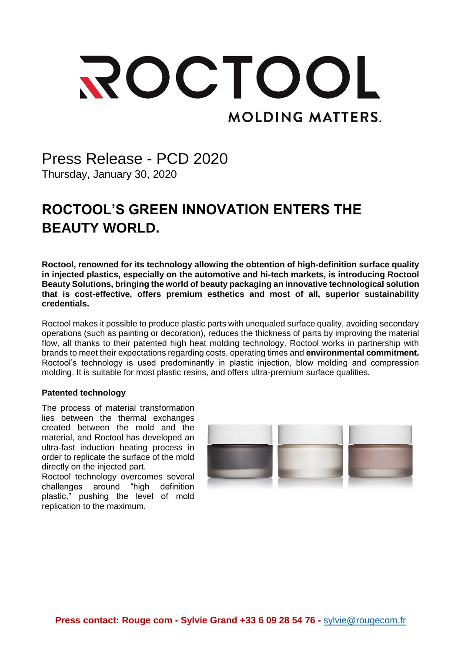# ROCTOOL **MOLDING MATTERS.**

### Press Release - PCD 2020 Thursday, January 30, 2020

## **ROCTOOL'S GREEN INNOVATION ENTERS THE BEAUTY WORLD.**

**Roctool, renowned for its technology allowing the obtention of high-definition surface quality in injected plastics, especially on the automotive and hi-tech markets, is introducing Roctool Beauty Solutions, bringing the world of beauty packaging an innovative technological solution that is cost-effective, offers premium esthetics and most of all, superior sustainability credentials.**

Roctool makes it possible to produce plastic parts with unequaled surface quality, avoiding secondary operations (such as painting or decoration), reduces the thickness of parts by improving the material flow, all thanks to their patented high heat molding technology. Roctool works in partnership with brands to meet their expectations regarding costs, operating times and **environmental commitment.** Roctool's technology is used predominantly in plastic injection, blow molding and compression molding. It is suitable for most plastic resins, and offers ultra-premium surface qualities.

#### **Patented technology**

The process of material transformation lies between the thermal exchanges created between the mold and the material, and Roctool has developed an ultra-fast induction heating process in order to replicate the surface of the mold directly on the injected part.

Roctool technology overcomes several challenges around "high definition plastic," pushing the level of mold replication to the maximum.